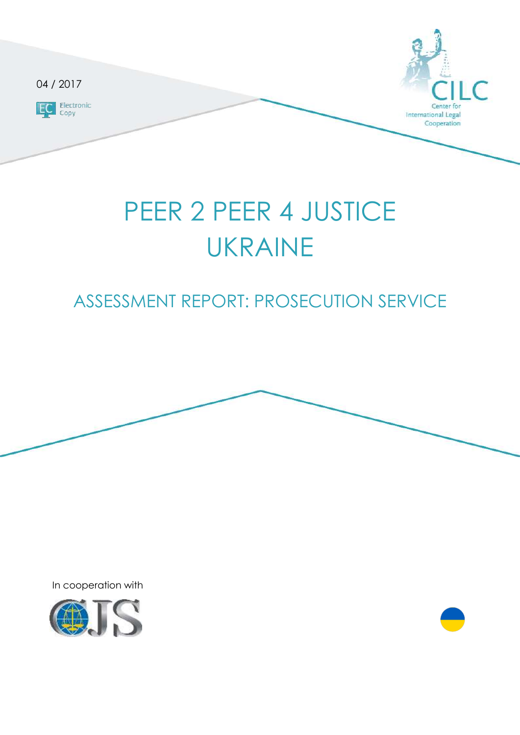

# PEER 2 PEER 4 JUSTICE UKRAINE

# ASSESSMENT REPORT: PROSECUTION SERVICE



In cooperation with

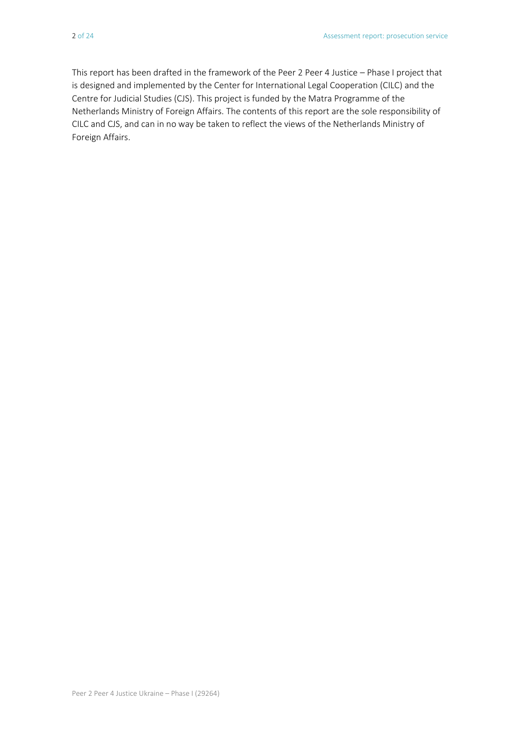This report has been drafted in the framework of the Peer 2 Peer 4 Justice – Phase I project that is designed and implemented by the Center for International Legal Cooperation (CILC) and the Centre for Judicial Studies (CJS). This project is funded by the Matra Programme of the Netherlands Ministry of Foreign Affairs. The contents of this report are the sole responsibility of CILC and CJS, and can in no way be taken to reflect the views of the Netherlands Ministry of Foreign Affairs.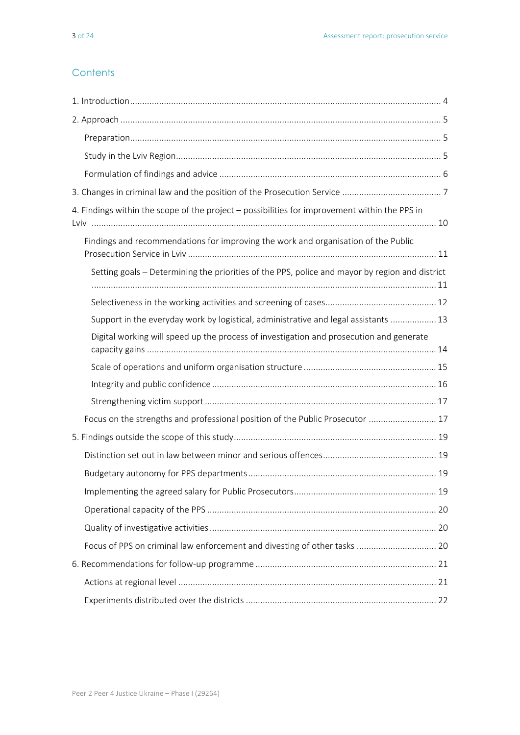#### **Contents**

| 4. Findings within the scope of the project - possibilities for improvement within the PPS in  |
|------------------------------------------------------------------------------------------------|
| Findings and recommendations for improving the work and organisation of the Public             |
| Setting goals – Determining the priorities of the PPS, police and mayor by region and district |
|                                                                                                |
| Support in the everyday work by logistical, administrative and legal assistants  13            |
| Digital working will speed up the process of investigation and prosecution and generate        |
|                                                                                                |
|                                                                                                |
|                                                                                                |
| Focus on the strengths and professional position of the Public Prosecutor  17                  |
|                                                                                                |
|                                                                                                |
|                                                                                                |
|                                                                                                |
|                                                                                                |
|                                                                                                |
| Focus of PPS on criminal law enforcement and divesting of other tasks  20                      |
|                                                                                                |
|                                                                                                |
|                                                                                                |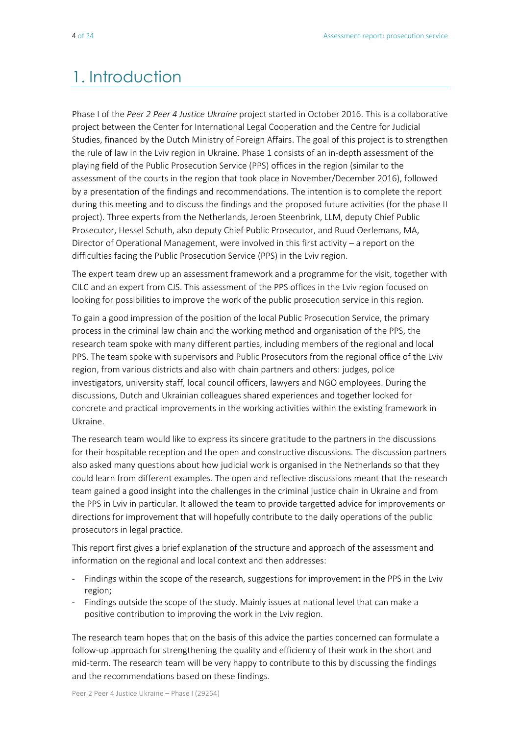# 1. Introduction

Phase I of the *Peer 2 Peer 4 Justice Ukraine* project started in October 2016. This is a collaborative project between the Center for International Legal Cooperation and the Centre for Judicial Studies, financed by the Dutch Ministry of Foreign Affairs. The goal of this project is to strengthen the rule of law in the Lviv region in Ukraine. Phase 1 consists of an in-depth assessment of the playing field of the Public Prosecution Service (PPS) offices in the region (similar to the assessment of the courts in the region that took place in November/December 2016), followed by a presentation of the findings and recommendations. The intention is to complete the report during this meeting and to discuss the findings and the proposed future activities (for the phase II project). Three experts from the Netherlands, Jeroen Steenbrink, LLM, deputy Chief Public Prosecutor, Hessel Schuth, also deputy Chief Public Prosecutor, and Ruud Oerlemans, MA, Director of Operational Management, were involved in this first activity – a report on the difficulties facing the Public Prosecution Service (PPS) in the Lviv region.

The expert team drew up an assessment framework and a programme for the visit, together with CILC and an expert from CJS. This assessment of the PPS offices in the Lviv region focused on looking for possibilities to improve the work of the public prosecution service in this region.

To gain a good impression of the position of the local Public Prosecution Service, the primary process in the criminal law chain and the working method and organisation of the PPS, the research team spoke with many different parties, including members of the regional and local PPS. The team spoke with supervisors and Public Prosecutors from the regional office of the Lviv region, from various districts and also with chain partners and others: judges, police investigators, university staff, local council officers, lawyers and NGO employees. During the discussions, Dutch and Ukrainian colleagues shared experiences and together looked for concrete and practical improvements in the working activities within the existing framework in Ukraine.

The research team would like to express its sincere gratitude to the partners in the discussions for their hospitable reception and the open and constructive discussions. The discussion partners also asked many questions about how judicial work is organised in the Netherlands so that they could learn from different examples. The open and reflective discussions meant that the research team gained a good insight into the challenges in the criminal justice chain in Ukraine and from the PPS in Lviv in particular. It allowed the team to provide targetted advice for improvements or directions for improvement that will hopefully contribute to the daily operations of the public prosecutors in legal practice.

This report first gives a brief explanation of the structure and approach of the assessment and information on the regional and local context and then addresses:

- Findings within the scope of the research, suggestions for improvement in the PPS in the Lviv region;
- Findings outside the scope of the study. Mainly issues at national level that can make a positive contribution to improving the work in the Lviv region.

The research team hopes that on the basis of this advice the parties concerned can formulate a follow-up approach for strengthening the quality and efficiency of their work in the short and mid-term. The research team will be very happy to contribute to this by discussing the findings and the recommendations based on these findings.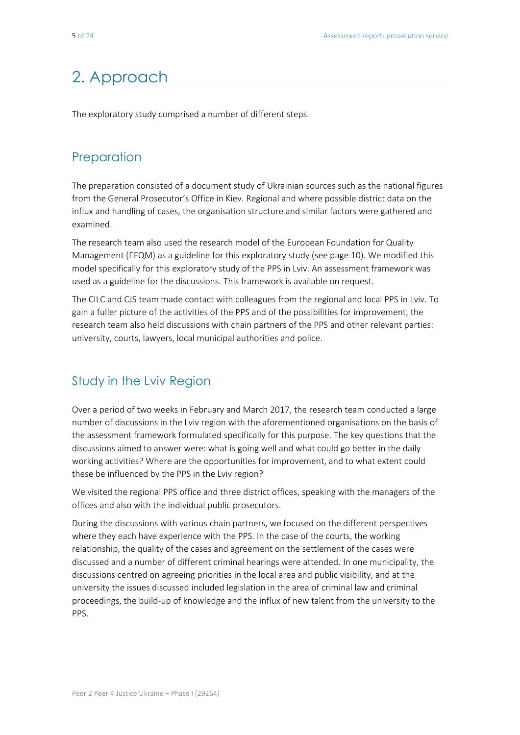# 2. Approach

The exploratory study comprised a number of different steps.

# **Preparation**

The preparation consisted of a document study of Ukrainian sources such as the national figures from the General Prosecutor's Office in Kiev. Regional and where possible district data on the influx and handling of cases, the organisation structure and similar factors were gathered and examined.

The research team also used the research model of the European Foundation for Quality Management (EFQM) as a guideline for this exploratory study (see page 10). We modified this model specifically for this exploratory study of the PPS in Lviv. An assessment framework was used as a guideline for the discussions. This framework is available on request.

The CILC and CJS team made contact with colleagues from the regional and local PPS in Lviv. To gain a fuller picture of the activities of the PPS and of the possibilities for improvement, the research team also held discussions with chain partners of the PPS and other relevant parties: university, courts, lawyers, local municipal authorities and police.

### Study in the Lviv Region

Over a period of two weeks in February and March 2017, the research team conducted a large number of discussions in the Lviv region with the aforementioned organisations on the basis of the assessment framework formulated specifically for this purpose. The key questions that the discussions aimed to answer were: what is going well and what could go better in the daily working activities? Where are the opportunities for improvement, and to what extent could these be influenced by the PPS in the Lviv region?

We visited the regional PPS office and three district offices, speaking with the managers of the offices and also with the individual public prosecutors.

During the discussions with various chain partners, we focused on the different perspectives where they each have experience with the PPS. In the case of the courts, the working relationship, the quality of the cases and agreement on the settlement of the cases were discussed and a number of different criminal hearings were attended. In one municipality, the discussions centred on agreeing priorities in the local area and public visibility, and at the university the issues discussed included legislation in the area of criminal law and criminal proceedings, the build-up of knowledge and the influx of new talent from the university to the PPS.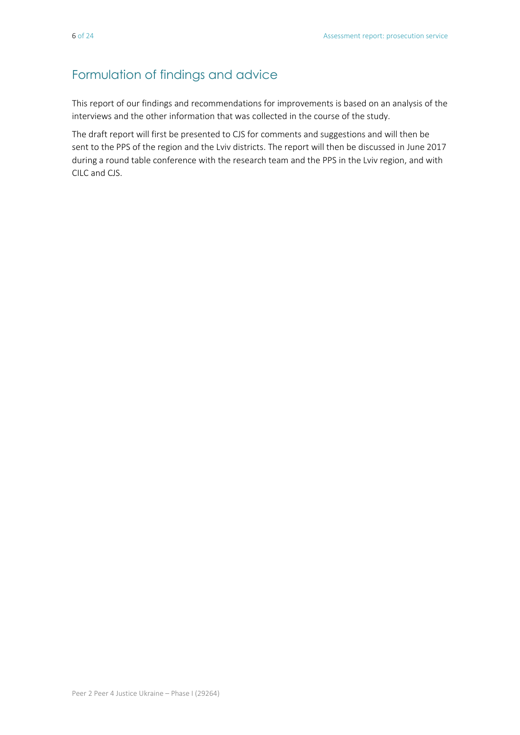# Formulation of findings and advice

This report of our findings and recommendations for improvements is based on an analysis of the interviews and the other information that was collected in the course of the study.

The draft report will first be presented to CJS for comments and suggestions and will then be sent to the PPS of the region and the Lviv districts. The report will then be discussed in June 2017 during a round table conference with the research team and the PPS in the Lviv region, and with CILC and CJS.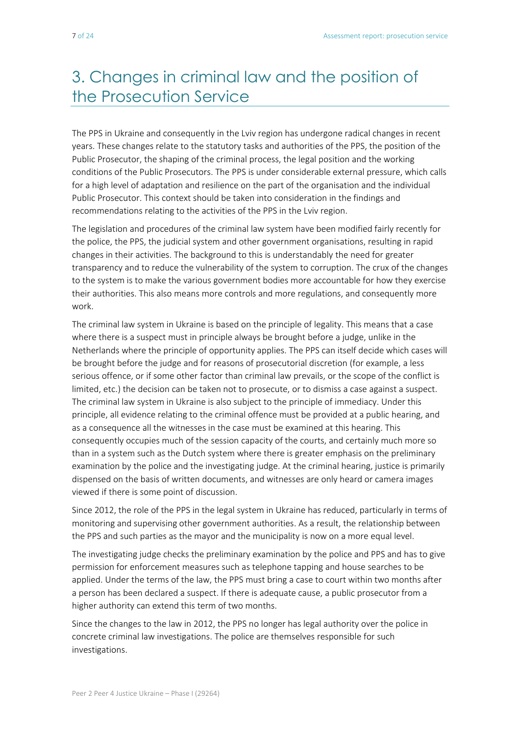# 3. Changes in criminal law and the position of the Prosecution Service

The PPS in Ukraine and consequently in the Lviv region has undergone radical changes in recent years. These changes relate to the statutory tasks and authorities of the PPS, the position of the Public Prosecutor, the shaping of the criminal process, the legal position and the working conditions of the Public Prosecutors. The PPS is under considerable external pressure, which calls for a high level of adaptation and resilience on the part of the organisation and the individual Public Prosecutor. This context should be taken into consideration in the findings and recommendations relating to the activities of the PPS in the Lviv region.

The legislation and procedures of the criminal law system have been modified fairly recently for the police, the PPS, the judicial system and other government organisations, resulting in rapid changes in their activities. The background to this is understandably the need for greater transparency and to reduce the vulnerability of the system to corruption. The crux of the changes to the system is to make the various government bodies more accountable for how they exercise their authorities. This also means more controls and more regulations, and consequently more work.

The criminal law system in Ukraine is based on the principle of legality. This means that a case where there is a suspect must in principle always be brought before a judge, unlike in the Netherlands where the principle of opportunity applies. The PPS can itself decide which cases will be brought before the judge and for reasons of prosecutorial discretion (for example, a less serious offence, or if some other factor than criminal law prevails, or the scope of the conflict is limited, etc.) the decision can be taken not to prosecute, or to dismiss a case against a suspect. The criminal law system in Ukraine is also subject to the principle of immediacy. Under this principle, all evidence relating to the criminal offence must be provided at a public hearing, and as a consequence all the witnesses in the case must be examined at this hearing. This consequently occupies much of the session capacity of the courts, and certainly much more so than in a system such as the Dutch system where there is greater emphasis on the preliminary examination by the police and the investigating judge. At the criminal hearing, justice is primarily dispensed on the basis of written documents, and witnesses are only heard or camera images viewed if there is some point of discussion.

Since 2012, the role of the PPS in the legal system in Ukraine has reduced, particularly in terms of monitoring and supervising other government authorities. As a result, the relationship between the PPS and such parties as the mayor and the municipality is now on a more equal level.

The investigating judge checks the preliminary examination by the police and PPS and has to give permission for enforcement measures such as telephone tapping and house searches to be applied. Under the terms of the law, the PPS must bring a case to court within two months after a person has been declared a suspect. If there is adequate cause, a public prosecutor from a higher authority can extend this term of two months.

Since the changes to the law in 2012, the PPS no longer has legal authority over the police in concrete criminal law investigations. The police are themselves responsible for such investigations.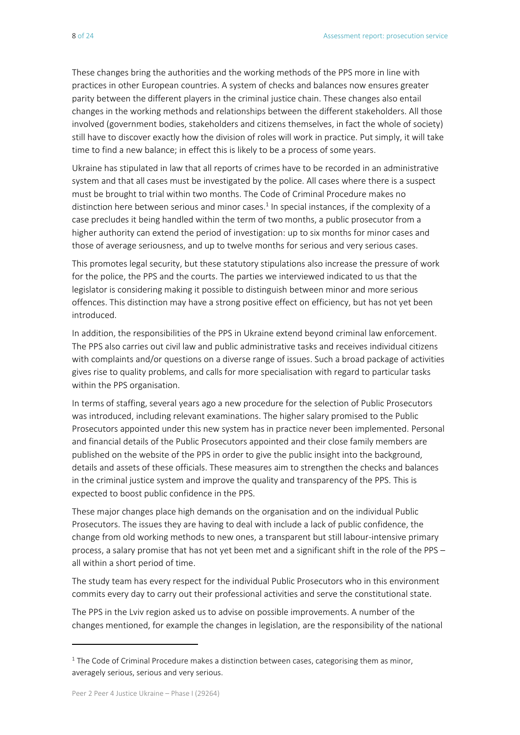These changes bring the authorities and the working methods of the PPS more in line with practices in other European countries. A system of checks and balances now ensures greater parity between the different players in the criminal justice chain. These changes also entail changes in the working methods and relationships between the different stakeholders. All those involved (government bodies, stakeholders and citizens themselves, in fact the whole of society) still have to discover exactly how the division of roles will work in practice. Put simply, it will take time to find a new balance; in effect this is likely to be a process of some years.

Ukraine has stipulated in law that all reports of crimes have to be recorded in an administrative system and that all cases must be investigated by the police. All cases where there is a suspect must be brought to trial within two months. The Code of Criminal Procedure makes no distinction here between serious and minor cases. 1 In special instances, if the complexity of a case precludes it being handled within the term of two months, a public prosecutor from a higher authority can extend the period of investigation: up to six months for minor cases and those of average seriousness, and up to twelve months for serious and very serious cases.

This promotes legal security, but these statutory stipulations also increase the pressure of work for the police, the PPS and the courts. The parties we interviewed indicated to us that the legislator is considering making it possible to distinguish between minor and more serious offences. This distinction may have a strong positive effect on efficiency, but has not yet been introduced.

In addition, the responsibilities of the PPS in Ukraine extend beyond criminal law enforcement. The PPS also carries out civil law and public administrative tasks and receives individual citizens with complaints and/or questions on a diverse range of issues. Such a broad package of activities gives rise to quality problems, and calls for more specialisation with regard to particular tasks within the PPS organisation.

In terms of staffing, several years ago a new procedure for the selection of Public Prosecutors was introduced, including relevant examinations. The higher salary promised to the Public Prosecutors appointed under this new system has in practice never been implemented. Personal and financial details of the Public Prosecutors appointed and their close family members are published on the website of the PPS in order to give the public insight into the background, details and assets of these officials. These measures aim to strengthen the checks and balances in the criminal justice system and improve the quality and transparency of the PPS. This is expected to boost public confidence in the PPS.

These major changes place high demands on the organisation and on the individual Public Prosecutors. The issues they are having to deal with include a lack of public confidence, the change from old working methods to new ones, a transparent but still labour-intensive primary process, a salary promise that has not yet been met and a significant shift in the role of the PPS – all within a short period of time.

The study team has every respect for the individual Public Prosecutors who in this environment commits every day to carry out their professional activities and serve the constitutional state.

The PPS in the Lviv region asked us to advise on possible improvements. A number of the changes mentioned, for example the changes in legislation, are the responsibility of the national

**.** 

 $<sup>1</sup>$  The Code of Criminal Procedure makes a distinction between cases, categorising them as minor,</sup> averagely serious, serious and very serious.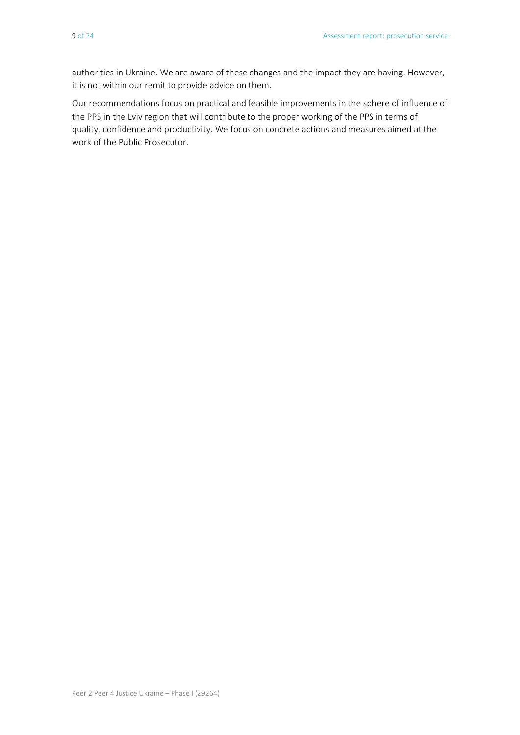authorities in Ukraine. We are aware of these changes and the impact they are having. However, it is not within our remit to provide advice on them.

Our recommendations focus on practical and feasible improvements in the sphere of influence of the PPS in the Lviv region that will contribute to the proper working of the PPS in terms of quality, confidence and productivity. We focus on concrete actions and measures aimed at the work of the Public Prosecutor.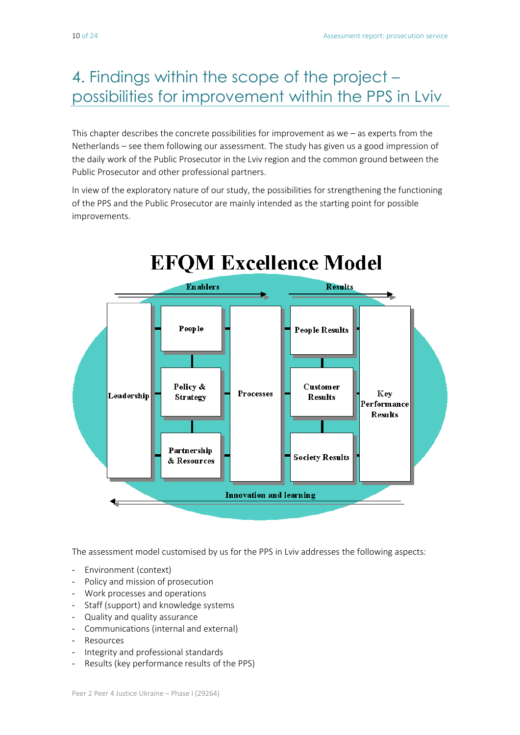# 4. Findings within the scope of the project – possibilities for improvement within the PPS in Lviv

This chapter describes the concrete possibilities for improvement as we – as experts from the Netherlands – see them following our assessment. The study has given us a good impression of the daily work of the Public Prosecutor in the Lviv region and the common ground between the Public Prosecutor and other professional partners.

In view of the exploratory nature of our study, the possibilities for strengthening the functioning of the PPS and the Public Prosecutor are mainly intended as the starting point for possible improvements.



The assessment model customised by us for the PPS in Lviv addresses the following aspects:

- Environment (context)
- Policy and mission of prosecution
- Work processes and operations
- Staff (support) and knowledge systems
- Quality and quality assurance
- Communications (internal and external)
- **Resources**
- Integrity and professional standards
- Results (key performance results of the PPS)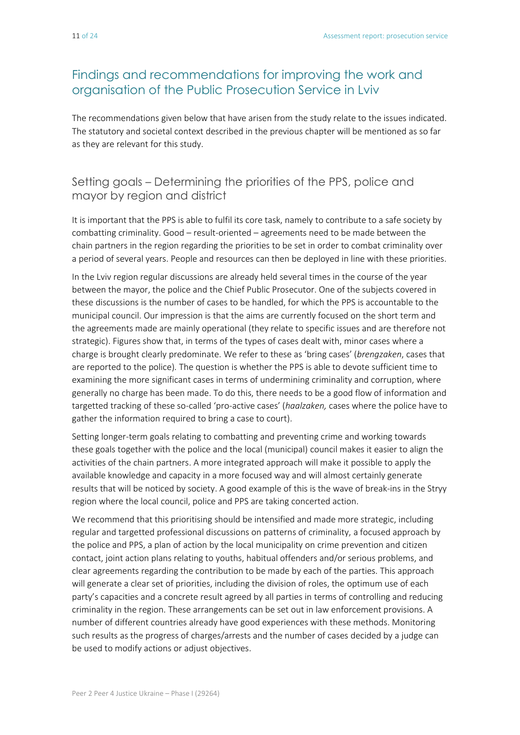# Findings and recommendations for improving the work and organisation of the Public Prosecution Service in Lviv

The recommendations given below that have arisen from the study relate to the issues indicated. The statutory and societal context described in the previous chapter will be mentioned as so far as they are relevant for this study.

#### Setting goals – Determining the priorities of the PPS, police and mayor by region and district

It is important that the PPS is able to fulfil its core task, namely to contribute to a safe society by combatting criminality. Good – result-oriented – agreements need to be made between the chain partners in the region regarding the priorities to be set in order to combat criminality over a period of several years. People and resources can then be deployed in line with these priorities.

In the Lviv region regular discussions are already held several times in the course of the year between the mayor, the police and the Chief Public Prosecutor. One of the subjects covered in these discussions is the number of cases to be handled, for which the PPS is accountable to the municipal council. Our impression is that the aims are currently focused on the short term and the agreements made are mainly operational (they relate to specific issues and are therefore not strategic). Figures show that, in terms of the types of cases dealt with, minor cases where a charge is brought clearly predominate. We refer to these as 'bring cases' (*brengzaken*, cases that are reported to the police)*.* The question is whether the PPS is able to devote sufficient time to examining the more significant cases in terms of undermining criminality and corruption, where generally no charge has been made. To do this, there needs to be a good flow of information and targetted tracking of these so-called 'pro-active cases' (*haalzaken,* cases where the police have to gather the information required to bring a case to court).

Setting longer-term goals relating to combatting and preventing crime and working towards these goals together with the police and the local (municipal) council makes it easier to align the activities of the chain partners. A more integrated approach will make it possible to apply the available knowledge and capacity in a more focused way and will almost certainly generate results that will be noticed by society. A good example of this is the wave of break-ins in the Stryy region where the local council, police and PPS are taking concerted action.

We recommend that this prioritising should be intensified and made more strategic, including regular and targetted professional discussions on patterns of criminality, a focused approach by the police and PPS, a plan of action by the local municipality on crime prevention and citizen contact, joint action plans relating to youths, habitual offenders and/or serious problems, and clear agreements regarding the contribution to be made by each of the parties. This approach will generate a clear set of priorities, including the division of roles, the optimum use of each party's capacities and a concrete result agreed by all parties in terms of controlling and reducing criminality in the region. These arrangements can be set out in law enforcement provisions. A number of different countries already have good experiences with these methods. Monitoring such results as the progress of charges/arrests and the number of cases decided by a judge can be used to modify actions or adjust objectives.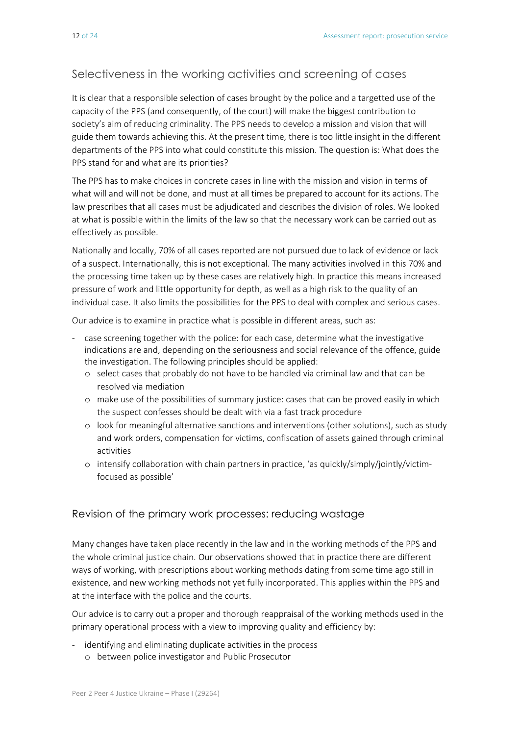#### Selectiveness in the working activities and screening of cases

It is clear that a responsible selection of cases brought by the police and a targetted use of the capacity of the PPS (and consequently, of the court) will make the biggest contribution to society's aim of reducing criminality. The PPS needs to develop a mission and vision that will guide them towards achieving this. At the present time, there is too little insight in the different departments of the PPS into what could constitute this mission. The question is: What does the PPS stand for and what are its priorities?

The PPS has to make choices in concrete cases in line with the mission and vision in terms of what will and will not be done, and must at all times be prepared to account for its actions. The law prescribes that all cases must be adjudicated and describes the division of roles. We looked at what is possible within the limits of the law so that the necessary work can be carried out as effectively as possible.

Nationally and locally, 70% of all cases reported are not pursued due to lack of evidence or lack of a suspect. Internationally, this is not exceptional. The many activities involved in this 70% and the processing time taken up by these cases are relatively high. In practice this means increased pressure of work and little opportunity for depth, as well as a high risk to the quality of an individual case. It also limits the possibilities for the PPS to deal with complex and serious cases.

Our advice is to examine in practice what is possible in different areas, such as:

- case screening together with the police: for each case, determine what the investigative indications are and, depending on the seriousness and social relevance of the offence, guide the investigation. The following principles should be applied:
	- o select cases that probably do not have to be handled via criminal law and that can be resolved via mediation
	- o make use of the possibilities of summary justice: cases that can be proved easily in which the suspect confesses should be dealt with via a fast track procedure
	- o look for meaningful alternative sanctions and interventions (other solutions), such as study and work orders, compensation for victims, confiscation of assets gained through criminal activities
	- o intensify collaboration with chain partners in practice, 'as quickly/simply/jointly/victimfocused as possible'

#### Revision of the primary work processes: reducing wastage

Many changes have taken place recently in the law and in the working methods of the PPS and the whole criminal justice chain. Our observations showed that in practice there are different ways of working, with prescriptions about working methods dating from some time ago still in existence, and new working methods not yet fully incorporated. This applies within the PPS and at the interface with the police and the courts.

Our advice is to carry out a proper and thorough reappraisal of the working methods used in the primary operational process with a view to improving quality and efficiency by:

- identifying and eliminating duplicate activities in the process
	- o between police investigator and Public Prosecutor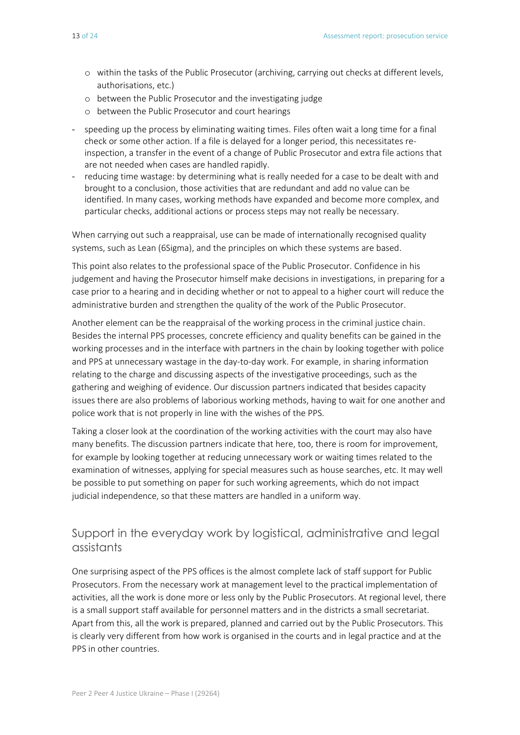- o within the tasks of the Public Prosecutor (archiving, carrying out checks at different levels, authorisations, etc.)
- o between the Public Prosecutor and the investigating judge
- o between the Public Prosecutor and court hearings
- speeding up the process by eliminating waiting times. Files often wait a long time for a final check or some other action. If a file is delayed for a longer period, this necessitates reinspection, a transfer in the event of a change of Public Prosecutor and extra file actions that are not needed when cases are handled rapidly.
- reducing time wastage: by determining what is really needed for a case to be dealt with and brought to a conclusion, those activities that are redundant and add no value can be identified. In many cases, working methods have expanded and become more complex, and particular checks, additional actions or process steps may not really be necessary.

When carrying out such a reappraisal, use can be made of internationally recognised quality systems, such as Lean (6Sigma), and the principles on which these systems are based.

This point also relates to the professional space of the Public Prosecutor. Confidence in his judgement and having the Prosecutor himself make decisions in investigations, in preparing for a case prior to a hearing and in deciding whether or not to appeal to a higher court will reduce the administrative burden and strengthen the quality of the work of the Public Prosecutor.

Another element can be the reappraisal of the working process in the criminal justice chain. Besides the internal PPS processes, concrete efficiency and quality benefits can be gained in the working processes and in the interface with partners in the chain by looking together with police and PPS at unnecessary wastage in the day-to-day work. For example, in sharing information relating to the charge and discussing aspects of the investigative proceedings, such as the gathering and weighing of evidence. Our discussion partners indicated that besides capacity issues there are also problems of laborious working methods, having to wait for one another and police work that is not properly in line with the wishes of the PPS.

Taking a closer look at the coordination of the working activities with the court may also have many benefits. The discussion partners indicate that here, too, there is room for improvement, for example by looking together at reducing unnecessary work or waiting times related to the examination of witnesses, applying for special measures such as house searches, etc. It may well be possible to put something on paper for such working agreements, which do not impact judicial independence, so that these matters are handled in a uniform way.

#### Support in the everyday work by logistical, administrative and legal assistants

One surprising aspect of the PPS offices is the almost complete lack of staff support for Public Prosecutors. From the necessary work at management level to the practical implementation of activities, all the work is done more or less only by the Public Prosecutors. At regional level, there is a small support staff available for personnel matters and in the districts a small secretariat. Apart from this, all the work is prepared, planned and carried out by the Public Prosecutors. This is clearly very different from how work is organised in the courts and in legal practice and at the PPS in other countries.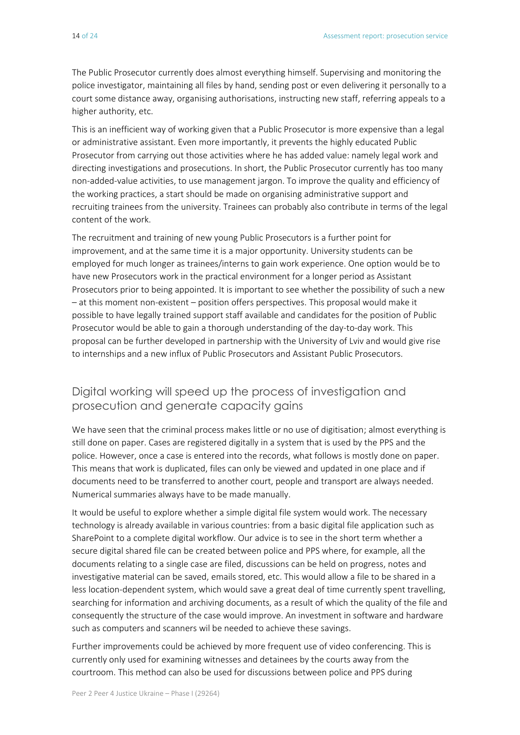The Public Prosecutor currently does almost everything himself. Supervising and monitoring the police investigator, maintaining all files by hand, sending post or even delivering it personally to a court some distance away, organising authorisations, instructing new staff, referring appeals to a higher authority, etc.

This is an inefficient way of working given that a Public Prosecutor is more expensive than a legal or administrative assistant. Even more importantly, it prevents the highly educated Public Prosecutor from carrying out those activities where he has added value: namely legal work and directing investigations and prosecutions. In short, the Public Prosecutor currently has too many non-added-value activities, to use management jargon. To improve the quality and efficiency of the working practices, a start should be made on organising administrative support and recruiting trainees from the university. Trainees can probably also contribute in terms of the legal content of the work.

The recruitment and training of new young Public Prosecutors is a further point for improvement, and at the same time it is a major opportunity. University students can be employed for much longer as trainees/interns to gain work experience. One option would be to have new Prosecutors work in the practical environment for a longer period as Assistant Prosecutors prior to being appointed. It is important to see whether the possibility of such a new – at this moment non-existent – position offers perspectives. This proposal would make it possible to have legally trained support staff available and candidates for the position of Public Prosecutor would be able to gain a thorough understanding of the day-to-day work. This proposal can be further developed in partnership with the University of Lviv and would give rise to internships and a new influx of Public Prosecutors and Assistant Public Prosecutors.

#### Digital working will speed up the process of investigation and prosecution and generate capacity gains

We have seen that the criminal process makes little or no use of digitisation; almost everything is still done on paper. Cases are registered digitally in a system that is used by the PPS and the police. However, once a case is entered into the records, what follows is mostly done on paper. This means that work is duplicated, files can only be viewed and updated in one place and if documents need to be transferred to another court, people and transport are always needed. Numerical summaries always have to be made manually.

It would be useful to explore whether a simple digital file system would work. The necessary technology is already available in various countries: from a basic digital file application such as SharePoint to a complete digital workflow. Our advice is to see in the short term whether a secure digital shared file can be created between police and PPS where, for example, all the documents relating to a single case are filed, discussions can be held on progress, notes and investigative material can be saved, emails stored, etc. This would allow a file to be shared in a less location-dependent system, which would save a great deal of time currently spent travelling, searching for information and archiving documents, as a result of which the quality of the file and consequently the structure of the case would improve. An investment in software and hardware such as computers and scanners wil be needed to achieve these savings.

Further improvements could be achieved by more frequent use of video conferencing. This is currently only used for examining witnesses and detainees by the courts away from the courtroom. This method can also be used for discussions between police and PPS during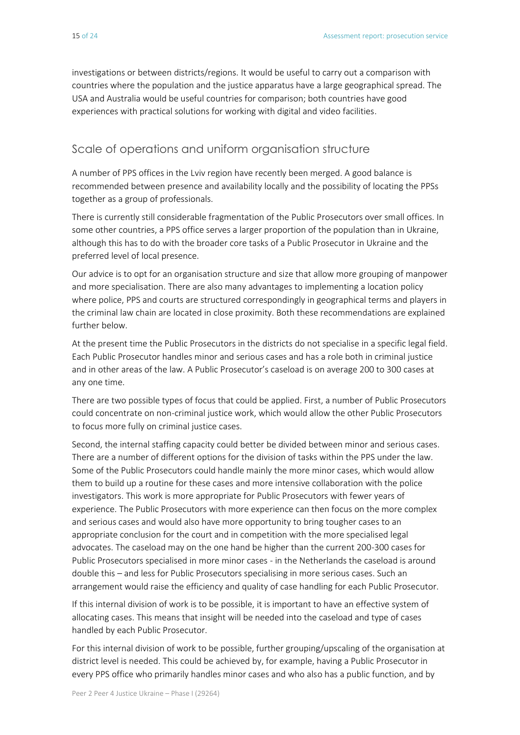investigations or between districts/regions. It would be useful to carry out a comparison with countries where the population and the justice apparatus have a large geographical spread. The USA and Australia would be useful countries for comparison; both countries have good experiences with practical solutions for working with digital and video facilities.

#### Scale of operations and uniform organisation structure

A number of PPS offices in the Lviv region have recently been merged. A good balance is recommended between presence and availability locally and the possibility of locating the PPSs together as a group of professionals.

There is currently still considerable fragmentation of the Public Prosecutors over small offices. In some other countries, a PPS office serves a larger proportion of the population than in Ukraine, although this has to do with the broader core tasks of a Public Prosecutor in Ukraine and the preferred level of local presence.

Our advice is to opt for an organisation structure and size that allow more grouping of manpower and more specialisation. There are also many advantages to implementing a location policy where police, PPS and courts are structured correspondingly in geographical terms and players in the criminal law chain are located in close proximity. Both these recommendations are explained further below.

At the present time the Public Prosecutors in the districts do not specialise in a specific legal field. Each Public Prosecutor handles minor and serious cases and has a role both in criminal justice and in other areas of the law. A Public Prosecutor's caseload is on average 200 to 300 cases at any one time.

There are two possible types of focus that could be applied. First, a number of Public Prosecutors could concentrate on non-criminal justice work, which would allow the other Public Prosecutors to focus more fully on criminal justice cases.

Second, the internal staffing capacity could better be divided between minor and serious cases. There are a number of different options for the division of tasks within the PPS under the law. Some of the Public Prosecutors could handle mainly the more minor cases, which would allow them to build up a routine for these cases and more intensive collaboration with the police investigators. This work is more appropriate for Public Prosecutors with fewer years of experience. The Public Prosecutors with more experience can then focus on the more complex and serious cases and would also have more opportunity to bring tougher cases to an appropriate conclusion for the court and in competition with the more specialised legal advocates. The caseload may on the one hand be higher than the current 200-300 cases for Public Prosecutors specialised in more minor cases - in the Netherlands the caseload is around double this – and less for Public Prosecutors specialising in more serious cases. Such an arrangement would raise the efficiency and quality of case handling for each Public Prosecutor.

If this internal division of work is to be possible, it is important to have an effective system of allocating cases. This means that insight will be needed into the caseload and type of cases handled by each Public Prosecutor.

For this internal division of work to be possible, further grouping/upscaling of the organisation at district level is needed. This could be achieved by, for example, having a Public Prosecutor in every PPS office who primarily handles minor cases and who also has a public function, and by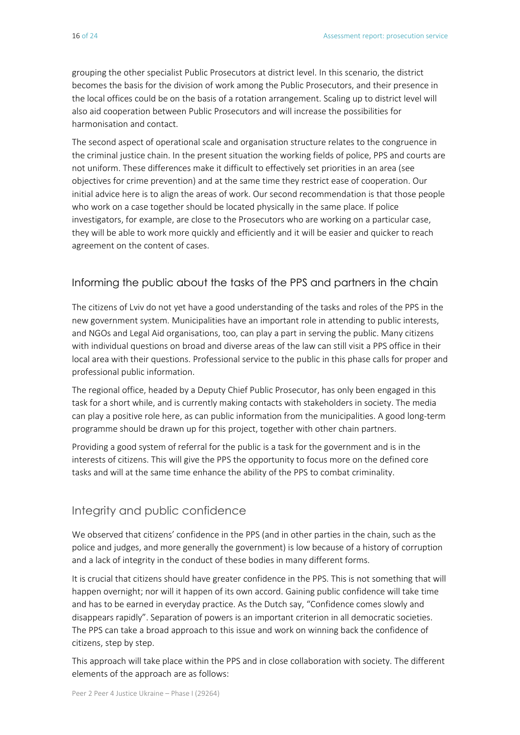grouping the other specialist Public Prosecutors at district level. In this scenario, the district becomes the basis for the division of work among the Public Prosecutors, and their presence in the local offices could be on the basis of a rotation arrangement. Scaling up to district level will also aid cooperation between Public Prosecutors and will increase the possibilities for harmonisation and contact.

The second aspect of operational scale and organisation structure relates to the congruence in the criminal justice chain. In the present situation the working fields of police, PPS and courts are not uniform. These differences make it difficult to effectively set priorities in an area (see objectives for crime prevention) and at the same time they restrict ease of cooperation. Our initial advice here is to align the areas of work. Our second recommendation is that those people who work on a case together should be located physically in the same place. If police investigators, for example, are close to the Prosecutors who are working on a particular case, they will be able to work more quickly and efficiently and it will be easier and quicker to reach agreement on the content of cases.

#### Informing the public about the tasks of the PPS and partners in the chain

The citizens of Lviv do not yet have a good understanding of the tasks and roles of the PPS in the new government system. Municipalities have an important role in attending to public interests, and NGOs and Legal Aid organisations, too, can play a part in serving the public. Many citizens with individual questions on broad and diverse areas of the law can still visit a PPS office in their local area with their questions. Professional service to the public in this phase calls for proper and professional public information.

The regional office, headed by a Deputy Chief Public Prosecutor, has only been engaged in this task for a short while, and is currently making contacts with stakeholders in society. The media can play a positive role here, as can public information from the municipalities. A good long-term programme should be drawn up for this project, together with other chain partners.

Providing a good system of referral for the public is a task for the government and is in the interests of citizens. This will give the PPS the opportunity to focus more on the defined core tasks and will at the same time enhance the ability of the PPS to combat criminality.

#### Integrity and public confidence

We observed that citizens' confidence in the PPS (and in other parties in the chain, such as the police and judges, and more generally the government) is low because of a history of corruption and a lack of integrity in the conduct of these bodies in many different forms.

It is crucial that citizens should have greater confidence in the PPS. This is not something that will happen overnight; nor will it happen of its own accord. Gaining public confidence will take time and has to be earned in everyday practice. As the Dutch say, "Confidence comes slowly and disappears rapidly". Separation of powers is an important criterion in all democratic societies. The PPS can take a broad approach to this issue and work on winning back the confidence of citizens, step by step.

This approach will take place within the PPS and in close collaboration with society. The different elements of the approach are as follows: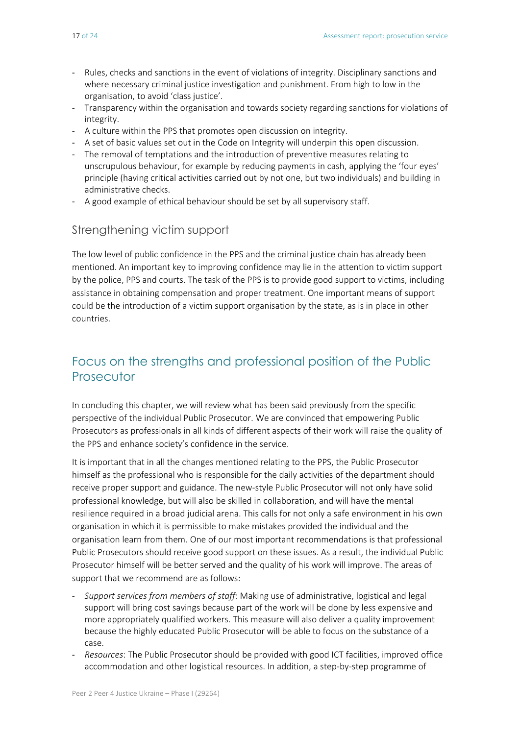- Rules, checks and sanctions in the event of violations of integrity. Disciplinary sanctions and where necessary criminal justice investigation and punishment. From high to low in the organisation, to avoid 'class justice'.
- Transparency within the organisation and towards society regarding sanctions for violations of integrity.
- A culture within the PPS that promotes open discussion on integrity.
- A set of basic values set out in the Code on Integrity will underpin this open discussion.
- The removal of temptations and the introduction of preventive measures relating to unscrupulous behaviour, for example by reducing payments in cash, applying the 'four eyes' principle (having critical activities carried out by not one, but two individuals) and building in administrative checks.
- A good example of ethical behaviour should be set by all supervisory staff.

#### Strengthening victim support

The low level of public confidence in the PPS and the criminal justice chain has already been mentioned. An important key to improving confidence may lie in the attention to victim support by the police, PPS and courts. The task of the PPS is to provide good support to victims, including assistance in obtaining compensation and proper treatment. One important means of support could be the introduction of a victim support organisation by the state, as is in place in other countries.

# Focus on the strengths and professional position of the Public **Prosecutor**

In concluding this chapter, we will review what has been said previously from the specific perspective of the individual Public Prosecutor. We are convinced that empowering Public Prosecutors as professionals in all kinds of different aspects of their work will raise the quality of the PPS and enhance society's confidence in the service.

It is important that in all the changes mentioned relating to the PPS, the Public Prosecutor himself as the professional who is responsible for the daily activities of the department should receive proper support and guidance. The new-style Public Prosecutor will not only have solid professional knowledge, but will also be skilled in collaboration, and will have the mental resilience required in a broad judicial arena. This calls for not only a safe environment in his own organisation in which it is permissible to make mistakes provided the individual and the organisation learn from them. One of our most important recommendations is that professional Public Prosecutors should receive good support on these issues. As a result, the individual Public Prosecutor himself will be better served and the quality of his work will improve. The areas of support that we recommend are as follows:

- *Support services from members of staff*: Making use of administrative, logistical and legal support will bring cost savings because part of the work will be done by less expensive and more appropriately qualified workers. This measure will also deliver a quality improvement because the highly educated Public Prosecutor will be able to focus on the substance of a case.
- *Resources*: The Public Prosecutor should be provided with good ICT facilities, improved office accommodation and other logistical resources. In addition, a step-by-step programme of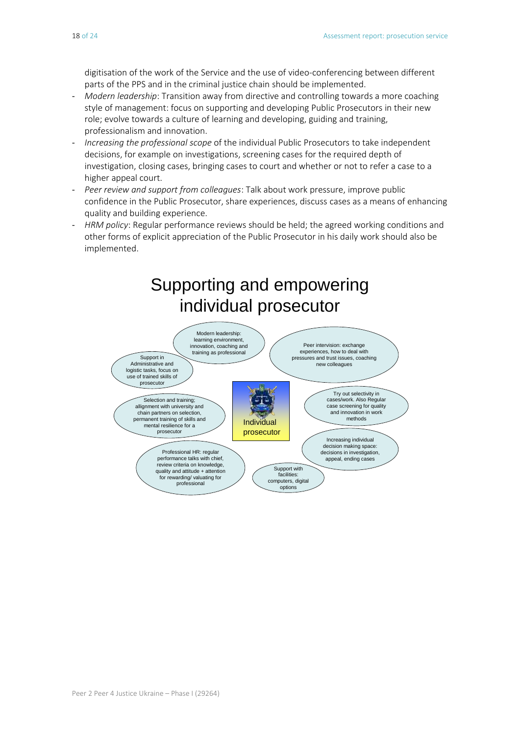digitisation of the work of the Service and the use of video-conferencing between different parts of the PPS and in the criminal justice chain should be implemented.

- *Modern leadership*: Transition away from directive and controlling towards a more coaching style of management: focus on supporting and developing Public Prosecutors in their new role; evolve towards a culture of learning and developing, guiding and training, professionalism and innovation.
- *Increasing the professional scope* of the individual Public Prosecutors to take independent decisions, for example on investigations, screening cases for the required depth of investigation, closing cases, bringing cases to court and whether or not to refer a case to a higher appeal court.
- *Peer review and support from colleagues*: Talk about work pressure, improve public confidence in the Public Prosecutor, share experiences, discuss cases as a means of enhancing quality and building experience.
- HRM policy: Regular performance reviews should be held; the agreed working conditions and other forms of explicit appreciation of the Public Prosecutor in his daily work should also be implemented.

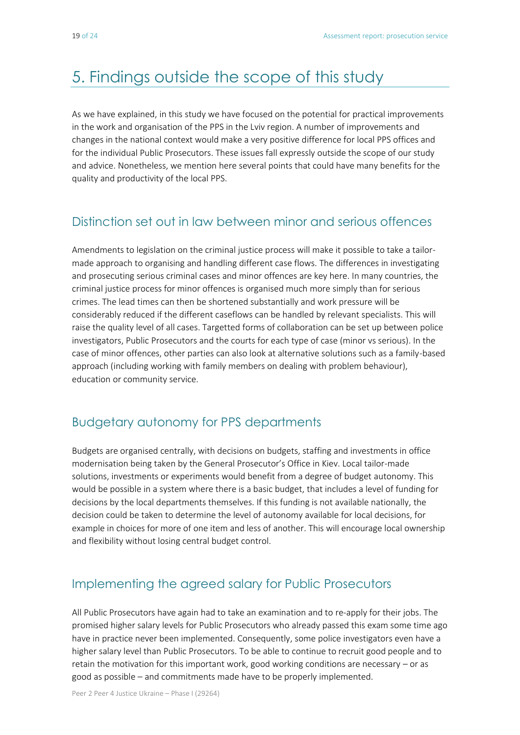# 5. Findings outside the scope of this study

As we have explained, in this study we have focused on the potential for practical improvements in the work and organisation of the PPS in the Lviv region. A number of improvements and changes in the national context would make a very positive difference for local PPS offices and for the individual Public Prosecutors. These issues fall expressly outside the scope of our study and advice. Nonetheless, we mention here several points that could have many benefits for the quality and productivity of the local PPS.

### Distinction set out in law between minor and serious offences

Amendments to legislation on the criminal justice process will make it possible to take a tailormade approach to organising and handling different case flows. The differences in investigating and prosecuting serious criminal cases and minor offences are key here. In many countries, the criminal justice process for minor offences is organised much more simply than for serious crimes. The lead times can then be shortened substantially and work pressure will be considerably reduced if the different caseflows can be handled by relevant specialists. This will raise the quality level of all cases. Targetted forms of collaboration can be set up between police investigators, Public Prosecutors and the courts for each type of case (minor vs serious). In the case of minor offences, other parties can also look at alternative solutions such as a family-based approach (including working with family members on dealing with problem behaviour), education or community service.

### Budgetary autonomy for PPS departments

Budgets are organised centrally, with decisions on budgets, staffing and investments in office modernisation being taken by the General Prosecutor's Office in Kiev. Local tailor-made solutions, investments or experiments would benefit from a degree of budget autonomy. This would be possible in a system where there is a basic budget, that includes a level of funding for decisions by the local departments themselves. If this funding is not available nationally, the decision could be taken to determine the level of autonomy available for local decisions, for example in choices for more of one item and less of another. This will encourage local ownership and flexibility without losing central budget control.

### Implementing the agreed salary for Public Prosecutors

All Public Prosecutors have again had to take an examination and to re-apply for their jobs. The promised higher salary levels for Public Prosecutors who already passed this exam some time ago have in practice never been implemented. Consequently, some police investigators even have a higher salary level than Public Prosecutors. To be able to continue to recruit good people and to retain the motivation for this important work, good working conditions are necessary – or as good as possible – and commitments made have to be properly implemented.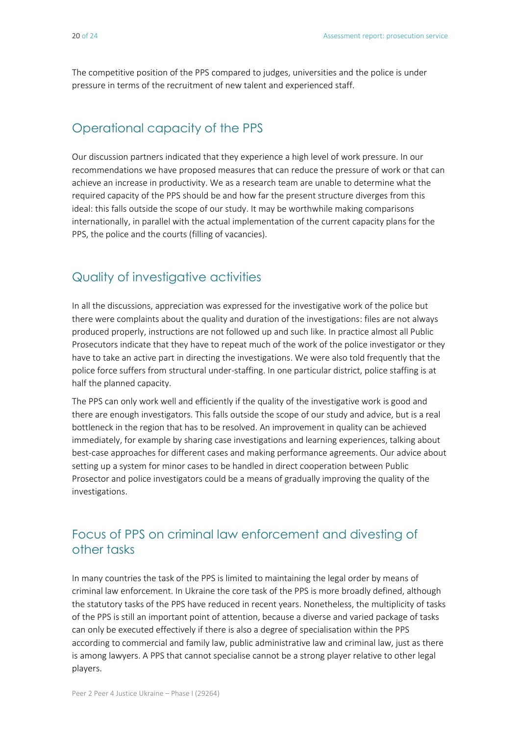The competitive position of the PPS compared to judges, universities and the police is under pressure in terms of the recruitment of new talent and experienced staff.

# Operational capacity of the PPS

Our discussion partners indicated that they experience a high level of work pressure. In our recommendations we have proposed measures that can reduce the pressure of work or that can achieve an increase in productivity. We as a research team are unable to determine what the required capacity of the PPS should be and how far the present structure diverges from this ideal: this falls outside the scope of our study. It may be worthwhile making comparisons internationally, in parallel with the actual implementation of the current capacity plans for the PPS, the police and the courts (filling of vacancies).

### Quality of investigative activities

In all the discussions, appreciation was expressed for the investigative work of the police but there were complaints about the quality and duration of the investigations: files are not always produced properly, instructions are not followed up and such like. In practice almost all Public Prosecutors indicate that they have to repeat much of the work of the police investigator or they have to take an active part in directing the investigations. We were also told frequently that the police force suffers from structural under-staffing. In one particular district, police staffing is at half the planned capacity.

The PPS can only work well and efficiently if the quality of the investigative work is good and there are enough investigators. This falls outside the scope of our study and advice, but is a real bottleneck in the region that has to be resolved. An improvement in quality can be achieved immediately, for example by sharing case investigations and learning experiences, talking about best-case approaches for different cases and making performance agreements. Our advice about setting up a system for minor cases to be handled in direct cooperation between Public Prosector and police investigators could be a means of gradually improving the quality of the investigations.

# Focus of PPS on criminal law enforcement and divesting of other tasks

In many countries the task of the PPS is limited to maintaining the legal order by means of criminal law enforcement. In Ukraine the core task of the PPS is more broadly defined, although the statutory tasks of the PPS have reduced in recent years. Nonetheless, the multiplicity of tasks of the PPS is still an important point of attention, because a diverse and varied package of tasks can only be executed effectively if there is also a degree of specialisation within the PPS according to commercial and family law, public administrative law and criminal law, just as there is among lawyers. A PPS that cannot specialise cannot be a strong player relative to other legal players.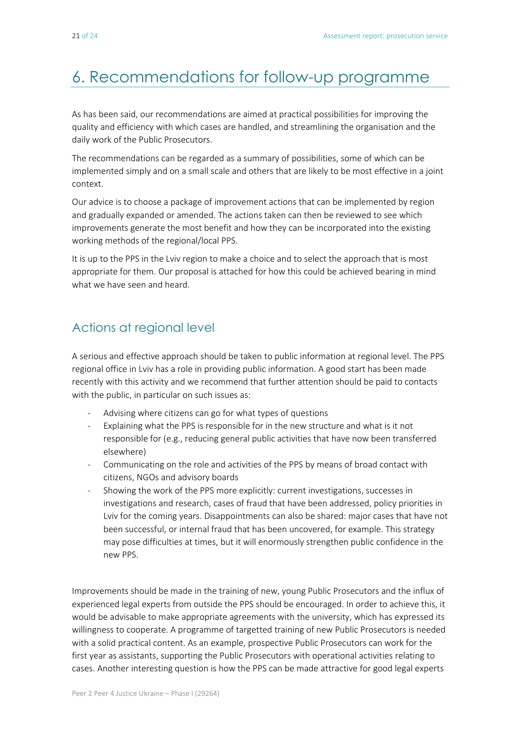# 6. Recommendations for follow-up programme

As has been said, our recommendations are aimed at practical possibilities for improving the quality and efficiency with which cases are handled, and streamlining the organisation and the daily work of the Public Prosecutors.

The recommendations can be regarded as a summary of possibilities, some of which can be implemented simply and on a small scale and others that are likely to be most effective in a joint context.

Our advice is to choose a package of improvement actions that can be implemented by region and gradually expanded or amended. The actions taken can then be reviewed to see which improvements generate the most benefit and how they can be incorporated into the existing working methods of the regional/local PPS.

It is up to the PPS in the Lviv region to make a choice and to select the approach that is most appropriate for them. Our proposal is attached for how this could be achieved bearing in mind what we have seen and heard.

### Actions at regional level

A serious and effective approach should be taken to public information at regional level. The PPS regional office in Lviv has a role in providing public information. A good start has been made recently with this activity and we recommend that further attention should be paid to contacts with the public, in particular on such issues as:

- Advising where citizens can go for what types of questions
- Explaining what the PPS is responsible for in the new structure and what is it not responsible for (e.g., reducing general public activities that have now been transferred elsewhere)
- Communicating on the role and activities of the PPS by means of broad contact with citizens, NGOs and advisory boards
- Showing the work of the PPS more explicitly: current investigations, successes in investigations and research, cases of fraud that have been addressed, policy priorities in Lviv for the coming years. Disappointments can also be shared: major cases that have not been successful, or internal fraud that has been uncovered, for example. This strategy may pose difficulties at times, but it will enormously strengthen public confidence in the new PPS.

Improvements should be made in the training of new, young Public Prosecutors and the influx of experienced legal experts from outside the PPS should be encouraged. In order to achieve this, it would be advisable to make appropriate agreements with the university, which has expressed its willingness to cooperate. A programme of targetted training of new Public Prosecutors is needed with a solid practical content. As an example, prospective Public Prosecutors can work for the first year as assistants, supporting the Public Prosecutors with operational activities relating to cases. Another interesting question is how the PPS can be made attractive for good legal experts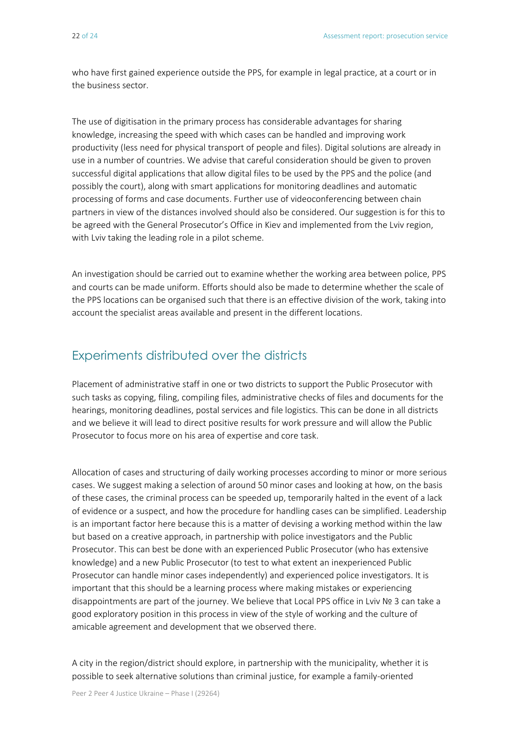who have first gained experience outside the PPS, for example in legal practice, at a court or in the business sector.

The use of digitisation in the primary process has considerable advantages for sharing knowledge, increasing the speed with which cases can be handled and improving work productivity (less need for physical transport of people and files). Digital solutions are already in use in a number of countries. We advise that careful consideration should be given to proven successful digital applications that allow digital files to be used by the PPS and the police (and possibly the court), along with smart applications for monitoring deadlines and automatic processing of forms and case documents. Further use of videoconferencing between chain partners in view of the distances involved should also be considered. Our suggestion is for this to be agreed with the General Prosecutor's Office in Kiev and implemented from the Lviv region, with Lviv taking the leading role in a pilot scheme.

An investigation should be carried out to examine whether the working area between police, PPS and courts can be made uniform. Efforts should also be made to determine whether the scale of the PPS locations can be organised such that there is an effective division of the work, taking into account the specialist areas available and present in the different locations.

### Experiments distributed over the districts

Placement of administrative staff in one or two districts to support the Public Prosecutor with such tasks as copying, filing, compiling files, administrative checks of files and documents for the hearings, monitoring deadlines, postal services and file logistics. This can be done in all districts and we believe it will lead to direct positive results for work pressure and will allow the Public Prosecutor to focus more on his area of expertise and core task.

Allocation of cases and structuring of daily working processes according to minor or more serious cases. We suggest making a selection of around 50 minor cases and looking at how, on the basis of these cases, the criminal process can be speeded up, temporarily halted in the event of a lack of evidence or a suspect, and how the procedure for handling cases can be simplified. Leadership is an important factor here because this is a matter of devising a working method within the law but based on a creative approach, in partnership with police investigators and the Public Prosecutor. This can best be done with an experienced Public Prosecutor (who has extensive knowledge) and a new Public Prosecutor (to test to what extent an inexperienced Public Prosecutor can handle minor cases independently) and experienced police investigators. It is important that this should be a learning process where making mistakes or experiencing disappointments are part of the journey. We believe that Local PPS office in Lviv № 3 can take a good exploratory position in this process in view of the style of working and the culture of amicable agreement and development that we observed there.

A city in the region/district should explore, in partnership with the municipality, whether it is possible to seek alternative solutions than criminal justice, for example a family-oriented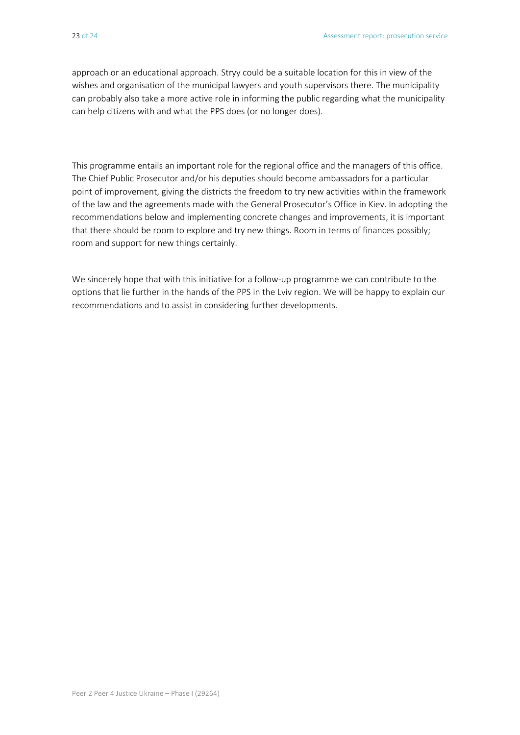approach or an educational approach. Stryy could be a suitable location for this in view of the wishes and organisation of the municipal lawyers and youth supervisors there. The municipality can probably also take a more active role in informing the public regarding what the municipality can help citizens with and what the PPS does (or no longer does).

This programme entails an important role for the regional office and the managers of this office. The Chief Public Prosecutor and/or his deputies should become ambassadors for a particular point of improvement, giving the districts the freedom to try new activities within the framework of the law and the agreements made with the General Prosecutor's Office in Kiev. In adopting the recommendations below and implementing concrete changes and improvements, it is important that there should be room to explore and try new things. Room in terms of finances possibly; room and support for new things certainly.

We sincerely hope that with this initiative for a follow-up programme we can contribute to the options that lie further in the hands of the PPS in the Lviv region. We will be happy to explain our recommendations and to assist in considering further developments.